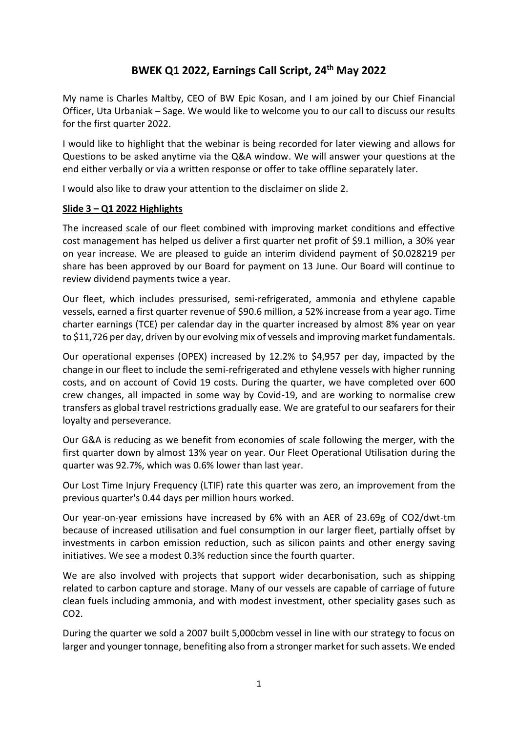# **BWEK Q1 2022, Earnings Call Script, 24 th May 2022**

My name is Charles Maltby, CEO of BW Epic Kosan, and I am joined by our Chief Financial Officer, Uta Urbaniak – Sage. We would like to welcome you to our call to discuss our results for the first quarter 2022.

I would like to highlight that the webinar is being recorded for later viewing and allows for Questions to be asked anytime via the Q&A window. We will answer your questions at the end either verbally or via a written response or offer to take offline separately later.

I would also like to draw your attention to the disclaimer on slide 2.

### **Slide 3 – Q1 2022 Highlights**

The increased scale of our fleet combined with improving market conditions and effective cost management has helped us deliver a first quarter net profit of \$9.1 million, a 30% year on year increase. We are pleased to guide an interim dividend payment of \$0.028219 per share has been approved by our Board for payment on 13 June. Our Board will continue to review dividend payments twice a year.

Our fleet, which includes pressurised, semi-refrigerated, ammonia and ethylene capable vessels, earned a first quarter revenue of \$90.6 million, a 52% increase from a year ago. Time charter earnings (TCE) per calendar day in the quarter increased by almost 8% year on year to \$11,726 per day, driven by our evolving mix of vessels and improving market fundamentals.

Our operational expenses (OPEX) increased by 12.2% to \$4,957 per day, impacted by the change in our fleet to include the semi-refrigerated and ethylene vessels with higher running costs, and on account of Covid 19 costs. During the quarter, we have completed over 600 crew changes, all impacted in some way by Covid-19, and are working to normalise crew transfers as global travel restrictions gradually ease. We are grateful to our seafarers for their loyalty and perseverance.

Our G&A is reducing as we benefit from economies of scale following the merger, with the first quarter down by almost 13% year on year. Our Fleet Operational Utilisation during the quarter was 92.7%, which was 0.6% lower than last year.

Our Lost Time Injury Frequency (LTIF) rate this quarter was zero, an improvement from the previous quarter's 0.44 days per million hours worked.

Our year-on-year emissions have increased by 6% with an AER of 23.69g of CO2/dwt-tm because of increased utilisation and fuel consumption in our larger fleet, partially offset by investments in carbon emission reduction, such as silicon paints and other energy saving initiatives. We see a modest 0.3% reduction since the fourth quarter.

We are also involved with projects that support wider decarbonisation, such as shipping related to carbon capture and storage. Many of our vessels are capable of carriage of future clean fuels including ammonia, and with modest investment, other speciality gases such as CO2.

During the quarter we sold a 2007 built 5,000cbm vessel in line with our strategy to focus on larger and younger tonnage, benefiting also from a stronger market for such assets. We ended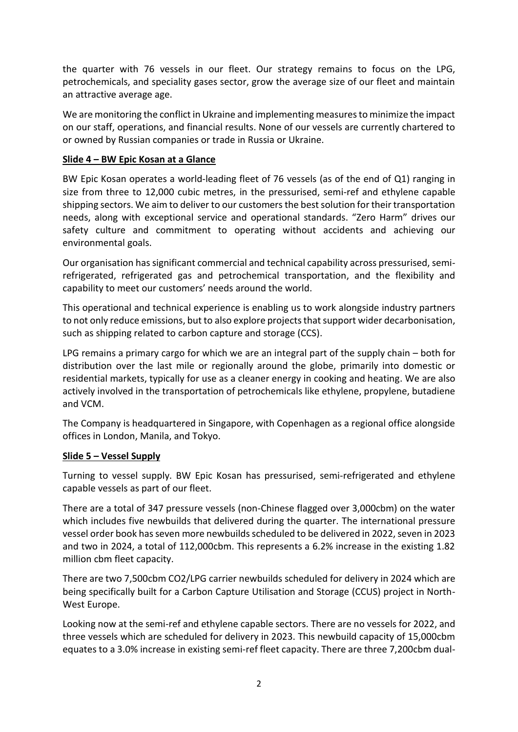the quarter with 76 vessels in our fleet. Our strategy remains to focus on the LPG, petrochemicals, and speciality gases sector, grow the average size of our fleet and maintain an attractive average age.

We are monitoring the conflict in Ukraine and implementing measures to minimize the impact on our staff, operations, and financial results. None of our vessels are currently chartered to or owned by Russian companies or trade in Russia or Ukraine.

## **Slide 4 – BW Epic Kosan at a Glance**

BW Epic Kosan operates a world-leading fleet of 76 vessels (as of the end of Q1) ranging in size from three to 12,000 cubic metres, in the pressurised, semi-ref and ethylene capable shipping sectors. We aim to deliver to our customers the best solution for their transportation needs, along with exceptional service and operational standards. "Zero Harm" drives our safety culture and commitment to operating without accidents and achieving our environmental goals.

Our organisation has significant commercial and technical capability across pressurised, semirefrigerated, refrigerated gas and petrochemical transportation, and the flexibility and capability to meet our customers' needs around the world.

This operational and technical experience is enabling us to work alongside industry partners to not only reduce emissions, but to also explore projects that support wider decarbonisation, such as shipping related to carbon capture and storage (CCS).

LPG remains a primary cargo for which we are an integral part of the supply chain – both for distribution over the last mile or regionally around the globe, primarily into domestic or residential markets, typically for use as a cleaner energy in cooking and heating. We are also actively involved in the transportation of petrochemicals like ethylene, propylene, butadiene and VCM.

The Company is headquartered in Singapore, with Copenhagen as a regional office alongside offices in London, Manila, and Tokyo.

#### **Slide 5 – Vessel Supply**

Turning to vessel supply. BW Epic Kosan has pressurised, semi-refrigerated and ethylene capable vessels as part of our fleet.

There are a total of 347 pressure vessels (non-Chinese flagged over 3,000cbm) on the water which includes five newbuilds that delivered during the quarter. The international pressure vessel order book has seven more newbuilds scheduled to be delivered in 2022, seven in 2023 and two in 2024, a total of 112,000cbm. This represents a 6.2% increase in the existing 1.82 million cbm fleet capacity.

There are two 7,500cbm CO2/LPG carrier newbuilds scheduled for delivery in 2024 which are being specifically built for a Carbon Capture Utilisation and Storage (CCUS) project in North-West Europe.

Looking now at the semi-ref and ethylene capable sectors. There are no vessels for 2022, and three vessels which are scheduled for delivery in 2023. This newbuild capacity of 15,000cbm equates to a 3.0% increase in existing semi-ref fleet capacity. There are three 7,200cbm dual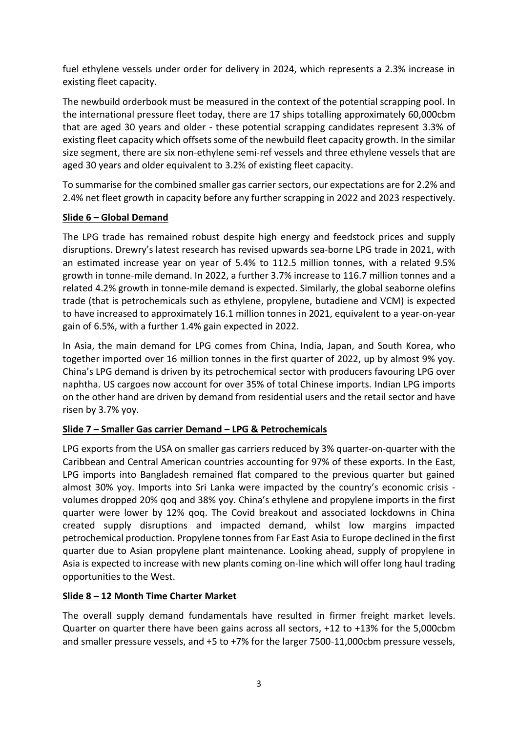fuel ethylene vessels under order for delivery in 2024, which represents a 2.3% increase in existing fleet capacity.

The newbuild orderbook must be measured in the context of the potential scrapping pool. In the international pressure fleet today, there are 17 ships totalling approximately 60,000cbm that are aged 30 years and older - these potential scrapping candidates represent 3.3% of existing fleet capacity which offsets some of the newbuild fleet capacity growth. In the similar size segment, there are six non-ethylene semi-ref vessels and three ethylene vessels that are aged 30 years and older equivalent to 3.2% of existing fleet capacity.

To summarise for the combined smaller gas carrier sectors, our expectations are for 2.2% and 2.4% net fleet growth in capacity before any further scrapping in 2022 and 2023 respectively.

## **Slide 6 – Global Demand**

The LPG trade has remained robust despite high energy and feedstock prices and supply disruptions. Drewry's latest research has revised upwards sea-borne LPG trade in 2021, with an estimated increase year on year of 5.4% to 112.5 million tonnes, with a related 9.5% growth in tonne-mile demand. In 2022, a further 3.7% increase to 116.7 million tonnes and a related 4.2% growth in tonne-mile demand is expected. Similarly, the global seaborne olefins trade (that is petrochemicals such as ethylene, propylene, butadiene and VCM) is expected to have increased to approximately 16.1 million tonnes in 2021, equivalent to a year-on-year gain of 6.5%, with a further 1.4% gain expected in 2022.

In Asia, the main demand for LPG comes from China, India, Japan, and South Korea, who together imported over 16 million tonnes in the first quarter of 2022, up by almost 9% yoy. China's LPG demand is driven by its petrochemical sector with producers favouring LPG over naphtha. US cargoes now account for over 35% of total Chinese imports. Indian LPG imports on the other hand are driven by demand from residential users and the retail sector and have risen by 3.7% yoy.

## **Slide 7 – Smaller Gas carrier Demand – LPG & Petrochemicals**

LPG exports from the USA on smaller gas carriers reduced by 3% quarter-on-quarter with the Caribbean and Central American countries accounting for 97% of these exports. In the East, LPG imports into Bangladesh remained flat compared to the previous quarter but gained almost 30% yoy. Imports into Sri Lanka were impacted by the country's economic crisis volumes dropped 20% qoq and 38% yoy. China's ethylene and propylene imports in the first quarter were lower by 12% qoq. The Covid breakout and associated lockdowns in China created supply disruptions and impacted demand, whilst low margins impacted petrochemical production. Propylene tonnes from Far East Asia to Europe declined in the first quarter due to Asian propylene plant maintenance. Looking ahead, supply of propylene in Asia is expected to increase with new plants coming on-line which will offer long haul trading opportunities to the West.

## **Slide 8 – 12 Month Time Charter Market**

The overall supply demand fundamentals have resulted in firmer freight market levels. Quarter on quarter there have been gains across all sectors, +12 to +13% for the 5,000cbm and smaller pressure vessels, and +5 to +7% for the larger 7500-11,000cbm pressure vessels,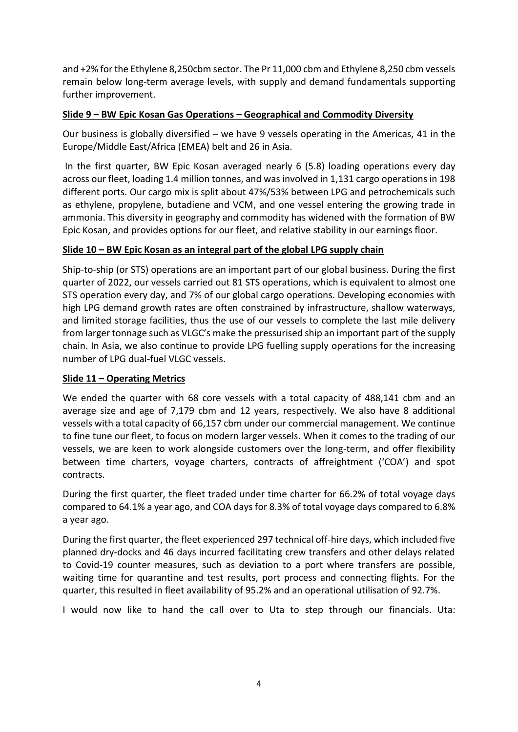and +2% for the Ethylene 8,250cbm sector. The Pr 11,000 cbm and Ethylene 8,250 cbm vessels remain below long-term average levels, with supply and demand fundamentals supporting further improvement.

## **Slide 9 – BW Epic Kosan Gas Operations – Geographical and Commodity Diversity**

Our business is globally diversified – we have 9 vessels operating in the Americas, 41 in the Europe/Middle East/Africa (EMEA) belt and 26 in Asia.

In the first quarter, BW Epic Kosan averaged nearly 6 (5.8) loading operations every day across our fleet, loading 1.4 million tonnes, and was involved in 1,131 cargo operations in 198 different ports. Our cargo mix is split about 47%/53% between LPG and petrochemicals such as ethylene, propylene, butadiene and VCM, and one vessel entering the growing trade in ammonia. This diversity in geography and commodity has widened with the formation of BW Epic Kosan, and provides options for our fleet, and relative stability in our earnings floor.

### **Slide 10 – BW Epic Kosan as an integral part of the global LPG supply chain**

Ship-to-ship (or STS) operations are an important part of our global business. During the first quarter of 2022, our vessels carried out 81 STS operations, which is equivalent to almost one STS operation every day, and 7% of our global cargo operations. Developing economies with high LPG demand growth rates are often constrained by infrastructure, shallow waterways, and limited storage facilities, thus the use of our vessels to complete the last mile delivery from larger tonnage such as VLGC's make the pressurised ship an important part of the supply chain. In Asia, we also continue to provide LPG fuelling supply operations for the increasing number of LPG dual-fuel VLGC vessels.

#### **Slide 11 – Operating Metrics**

We ended the quarter with 68 core vessels with a total capacity of 488,141 cbm and an average size and age of 7,179 cbm and 12 years, respectively. We also have 8 additional vessels with a total capacity of 66,157 cbm under our commercial management. We continue to fine tune our fleet, to focus on modern larger vessels. When it comes to the trading of our vessels, we are keen to work alongside customers over the long-term, and offer flexibility between time charters, voyage charters, contracts of affreightment ('COA') and spot contracts.

During the first quarter, the fleet traded under time charter for 66.2% of total voyage days compared to 64.1% a year ago, and COA days for 8.3% of total voyage days compared to 6.8% a year ago.

During the first quarter, the fleet experienced 297 technical off-hire days, which included five planned dry-docks and 46 days incurred facilitating crew transfers and other delays related to Covid-19 counter measures, such as deviation to a port where transfers are possible, waiting time for quarantine and test results, port process and connecting flights. For the quarter, this resulted in fleet availability of 95.2% and an operational utilisation of 92.7%.

I would now like to hand the call over to Uta to step through our financials. Uta: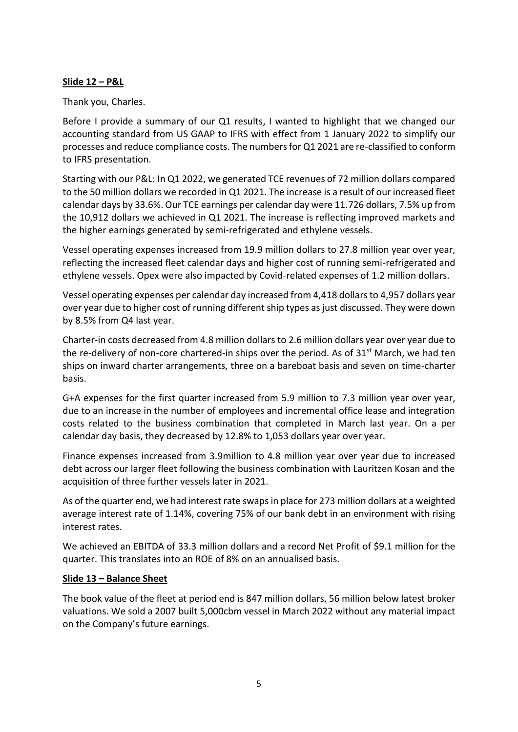### **Slide 12 – P&L**

Thank you, Charles.

Before I provide a summary of our Q1 results, I wanted to highlight that we changed our accounting standard from US GAAP to IFRS with effect from 1 January 2022 to simplify our processes and reduce compliance costs. The numbers for Q1 2021 are re-classified to conform to IFRS presentation.

Starting with our P&L: In Q1 2022, we generated TCE revenues of 72 million dollars compared to the 50 million dollars we recorded in Q1 2021. The increase is a result of our increased fleet calendar days by 33.6%. Our TCE earnings per calendar day were 11.726 dollars, 7.5% up from the 10,912 dollars we achieved in Q1 2021. The increase is reflecting improved markets and the higher earnings generated by semi-refrigerated and ethylene vessels.

Vessel operating expenses increased from 19.9 million dollars to 27.8 million year over year, reflecting the increased fleet calendar days and higher cost of running semi-refrigerated and ethylene vessels. Opex were also impacted by Covid-related expenses of 1.2 million dollars.

Vessel operating expenses per calendar day increased from 4,418 dollars to 4,957 dollars year over year due to higher cost of running different ship types as just discussed. They were down by 8.5% from Q4 last year.

Charter-in costs decreased from 4.8 million dollars to 2.6 million dollars year over year due to the re-delivery of non-core chartered-in ships over the period. As of  $31<sup>st</sup>$  March, we had ten ships on inward charter arrangements, three on a bareboat basis and seven on time-charter basis.

G+A expenses for the first quarter increased from 5.9 million to 7.3 million year over year, due to an increase in the number of employees and incremental office lease and integration costs related to the business combination that completed in March last year. On a per calendar day basis, they decreased by 12.8% to 1,053 dollars year over year.

Finance expenses increased from 3.9million to 4.8 million year over year due to increased debt across our larger fleet following the business combination with Lauritzen Kosan and the acquisition of three further vessels later in 2021.

As of the quarter end, we had interest rate swaps in place for 273 million dollars at a weighted average interest rate of 1.14%, covering 75% of our bank debt in an environment with rising interest rates.

We achieved an EBITDA of 33.3 million dollars and a record Net Profit of \$9.1 million for the quarter. This translates into an ROE of 8% on an annualised basis.

## **Slide 13 – Balance Sheet**

The book value of the fleet at period end is 847 million dollars, 56 million below latest broker valuations. We sold a 2007 built 5,000cbm vessel in March 2022 without any material impact on the Company's future earnings.